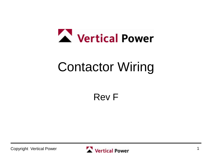

# Contactor Wiring

Rev F

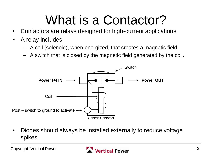# What is a Contactor?

- Contactors are relays designed for high-current applications.
- A relay includes:
	- A coil (solenoid), when energized, that creates a magnetic field
	- A switch that is closed by the magnetic field generated by the coil.



• Diodes should always be installed externally to reduce voltage spikes.

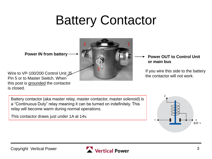# Battery Contactor

3 1

2

**Power IN from battery**  $\longrightarrow$  $\blacksquare$  **Power OUT to Control Unit** 

Wire to VP-100/200 Control Unit J5 Pin 5 or to Master Switch. When this post is grounded the contactor is closed.

### **or main bus**

If you wire this side to the battery the contactor will not work.

Battery contactor (aka master relay, master contactor, master solenoid) is a "Continuous Duty" relay meaning it can be turned on indefinitely. This relay will become warm during normal operations.

This contactor draws just under 1A at 14v.



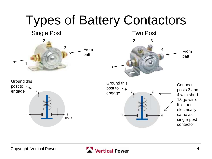

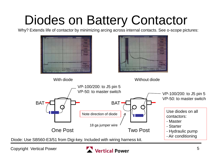# Diodes on Battery Contactor

Why? Extends life of contactor by minimizing arcing across internal contacts. See o-scope pictures:



Diode: Use SB560-E3/51 from Digi-key. Included with wiring harness kit.

Copyright Vertical Power

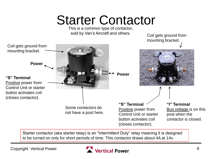# Starter Contactor

This is a common type of contactor, sold by Van's Aircraft and others.

mounting bracket.Coil gets ground from mounting bracket. **Power**  $\overline{\phantom{a}}$ **Power "S" Terminal** Positive power from Control Unit or starter button activates coil (closes contactor). **"S" Terminal "I" Terminal** Some contactors do Positive power from Bus voltage is on this not have a post here. Control Unit or starter post when the button activates coil contactor is closed. (closes contactor).

Starter contactor (aka starter relay) is an "Intermittent Duty" relay meaning it is designed to be turned on only for short periods of time. This contactor draws about 4A at 14v.



Coil gets ground from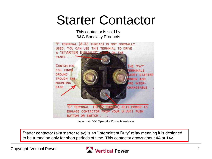## Starter Contactor

This contactor is sold by B&C Specialty Products.



Image from B&C Specialty Products web site.

Starter contactor (aka starter relay) is an "Intermittent Duty" relay meaning it is designed to be turned on only for short periods of time. This contactor draws about 4A at 14v.

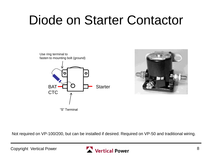# Diode on Starter Contactor





Not required on VP-100/200, but can be installed if desired. Required on VP-50 and traditional wiring.

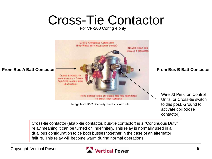# Cross-Tie Contactor

For VP-200 Config 4 only



Cross-tie contactor (aka x-tie contactor, bus-tie contactor) is a "Continuous Duty" relay meaning it can be turned on indefinitely. This relay is normally used in a dual bus configuration to tie both busses together in the case of an alternator failure. This relay will become warm during normal operations.

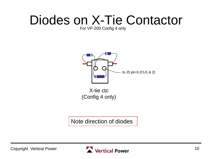# Diodes on X-Tie Contactor

#### For VP-200 Config 4 only



X-tie ctc (Config 4 only)

Note direction of diodes